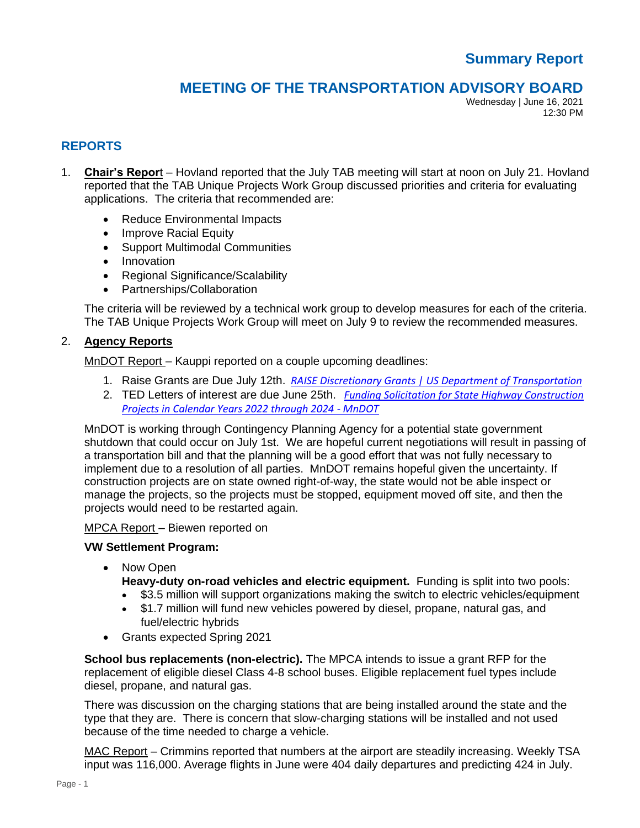# **Summary Report**

# **MEETING OF THE TRANSPORTATION ADVISORY BOARD**

Wednesday | June 16, 2021 12:30 PM

## **REPORTS**

- 1. **Chair's Repor**t Hovland reported that the July TAB meeting will start at noon on July 21. Hovland reported that the TAB Unique Projects Work Group discussed priorities and criteria for evaluating applications. The criteria that recommended are:
	- Reduce Environmental Impacts
	- Improve Racial Equity
	- Support Multimodal Communities
	- Innovation
	- Regional Significance/Scalability
	- Partnerships/Collaboration

The criteria will be reviewed by a technical work group to develop measures for each of the criteria. The TAB Unique Projects Work Group will meet on July 9 to review the recommended measures.

#### 2. **Agency Reports**

MnDOT Report – Kauppi reported on a couple upcoming deadlines:

- 1. Raise Grants are Due July 12th. *[RAISE Discretionary Grants | US Department of Transportation](https://gcc02.safelinks.protection.outlook.com/?url=https%3A%2F%2Fwww.transportation.gov%2FRAISEgrants&data=04%7C01%7Celaine.koutsoukos%40metc.state.mn.us%7C32f345665dd14659e31c08d930ed756f%7Cddbff68b482a457381e0fef8156a4fd0%7C0%7C0%7C637594618712108853%7CUnknown%7CTWFpbGZsb3d8eyJWIjoiMC4wLjAwMDAiLCJQIjoiV2luMzIiLCJBTiI6Ik1haWwiLCJXVCI6Mn0%3D%7C1000&sdata=czu1uhJtDt8ciDYMpourX2adFyzONFpjPvCt04U3Tts%3D&reserved=0)*
- 2. TED Letters of interest are due June 25th. *[Funding Solicitation for State Highway Construction](https://gcc02.safelinks.protection.outlook.com/?url=http%3A%2F%2Fwww.dot.state.mn.us%2Ffunding%2Fted%2F2021-solicitation.html&data=04%7C01%7Celaine.koutsoukos%40metc.state.mn.us%7C32f345665dd14659e31c08d930ed756f%7Cddbff68b482a457381e0fef8156a4fd0%7C0%7C0%7C637594618712108853%7CUnknown%7CTWFpbGZsb3d8eyJWIjoiMC4wLjAwMDAiLCJQIjoiV2luMzIiLCJBTiI6Ik1haWwiLCJXVCI6Mn0%3D%7C1000&sdata=b4X4XF4N%2FdwcF7xDaUKEWhSbL7CMzzKRDDrHFSEzxIw%3D&reserved=0)  [Projects in Calendar Years 2022 through 2024 -](https://gcc02.safelinks.protection.outlook.com/?url=http%3A%2F%2Fwww.dot.state.mn.us%2Ffunding%2Fted%2F2021-solicitation.html&data=04%7C01%7Celaine.koutsoukos%40metc.state.mn.us%7C32f345665dd14659e31c08d930ed756f%7Cddbff68b482a457381e0fef8156a4fd0%7C0%7C0%7C637594618712108853%7CUnknown%7CTWFpbGZsb3d8eyJWIjoiMC4wLjAwMDAiLCJQIjoiV2luMzIiLCJBTiI6Ik1haWwiLCJXVCI6Mn0%3D%7C1000&sdata=b4X4XF4N%2FdwcF7xDaUKEWhSbL7CMzzKRDDrHFSEzxIw%3D&reserved=0) MnDOT*

MnDOT is working through Contingency Planning Agency for a potential state government shutdown that could occur on July 1st. We are hopeful current negotiations will result in passing of a transportation bill and that the planning will be a good effort that was not fully necessary to implement due to a resolution of all parties. MnDOT remains hopeful given the uncertainty. If construction projects are on state owned right-of-way, the state would not be able inspect or manage the projects, so the projects must be stopped, equipment moved off site, and then the projects would need to be restarted again.

#### MPCA Report – Biewen reported on

#### **VW Settlement Program:**

- Now Open
	- **Heavy-duty on-road vehicles and electric equipment.** Funding is split into two pools:
	- \$3.5 million will support organizations making the switch to electric vehicles/equipment
	- \$1.7 million will fund new vehicles powered by diesel, propane, natural gas, and fuel/electric hybrids
- Grants expected Spring 2021

**School bus replacements (non-electric).** The MPCA intends to issue a grant RFP for the replacement of eligible diesel Class 4-8 school buses. Eligible replacement fuel types include diesel, propane, and natural gas.

There was discussion on the charging stations that are being installed around the state and the type that they are. There is concern that slow-charging stations will be installed and not used because of the time needed to charge a vehicle.

MAC Report – Crimmins reported that numbers at the airport are steadily increasing. Weekly TSA input was 116,000. Average flights in June were 404 daily departures and predicting 424 in July.